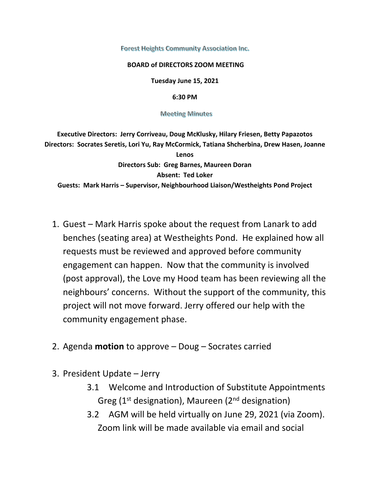Forest Heights Community Association Inc.

## **BOARD of DIRECTORS ZOOM MEETING**

**Tuesday June 15, 2021** 

**6:30 PM**

**Meeting Minutes** 

**Executive Directors: Jerry Corriveau, Doug McKlusky, Hilary Friesen, Betty Papazotos Directors: Socrates Seretis, Lori Yu, Ray McCormick, Tatiana Shcherbina, Drew Hasen, Joanne Lenos Directors Sub: Greg Barnes, Maureen Doran Absent: Ted Loker Guests: Mark Harris – Supervisor, Neighbourhood Liaison/Westheights Pond Project** 

- 1. Guest Mark Harris spoke about the request from Lanark to add benches (seating area) at Westheights Pond. He explained how all requests must be reviewed and approved before community engagement can happen. Now that the community is involved (post approval), the Love my Hood team has been reviewing all the neighbours' concerns. Without the support of the community, this project will not move forward. Jerry offered our help with the community engagement phase.
- 2. Agenda **motion** to approve Doug Socrates carried
- 3. President Update Jerry
	- 3.1 Welcome and Introduction of Substitute Appointments Greg ( $1<sup>st</sup>$  designation), Maureen ( $2<sup>nd</sup>$  designation)
	- 3.2 AGM will be held virtually on June 29, 2021 (via Zoom). Zoom link will be made available via email and social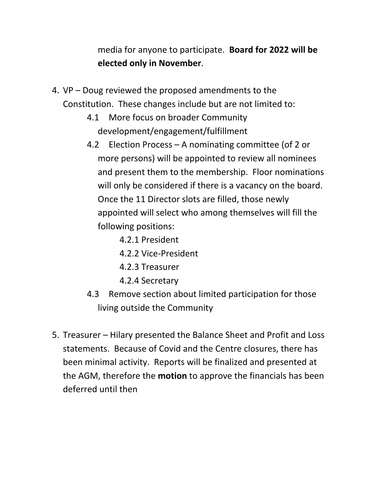media for anyone to participate. **Board for 2022 will be elected only in November**.

- 4. VP Doug reviewed the proposed amendments to the Constitution. These changes include but are not limited to:
	- 4.1 More focus on broader Community development/engagement/fulfillment
	- 4.2 Election Process A nominating committee (of 2 or more persons) will be appointed to review all nominees and present them to the membership. Floor nominations will only be considered if there is a vacancy on the board. Once the 11 Director slots are filled, those newly appointed will select who among themselves will fill the following positions:
		- 4.2.1 President
		- 4.2.2 Vice‐President
		- 4.2.3 Treasurer
		- 4.2.4 Secretary
	- 4.3 Remove section about limited participation for those living outside the Community
- 5. Treasurer Hilary presented the Balance Sheet and Profit and Loss statements. Because of Covid and the Centre closures, there has been minimal activity. Reports will be finalized and presented at the AGM, therefore the **motion** to approve the financials has been deferred until then